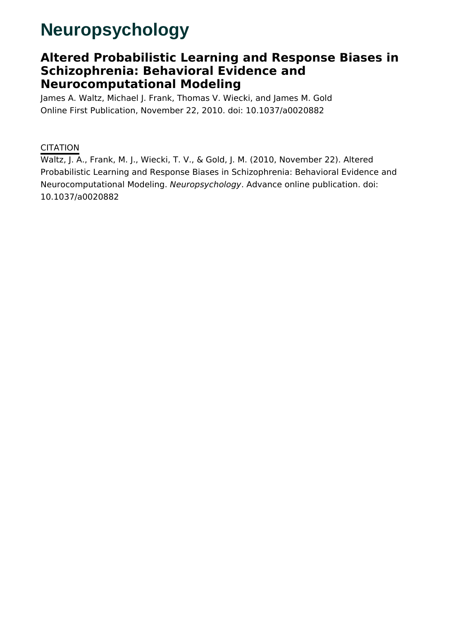# **Neuropsychology**

## **Altered Probabilistic Learning and Response Biases in Schizophrenia: Behavioral Evidence and Neurocomputational Modeling**

James A. Waltz, Michael J. Frank, Thomas V. Wiecki, and James M. Gold Online First Publication, November 22, 2010. doi: 10.1037/a0020882

### **CITATION**

Waltz, J. A., Frank, M. J., Wiecki, T. V., & Gold, J. M. (2010, November 22). Altered Probabilistic Learning and Response Biases in Schizophrenia: Behavioral Evidence and Neurocomputational Modeling. Neuropsychology. Advance online publication. doi: 10.1037/a0020882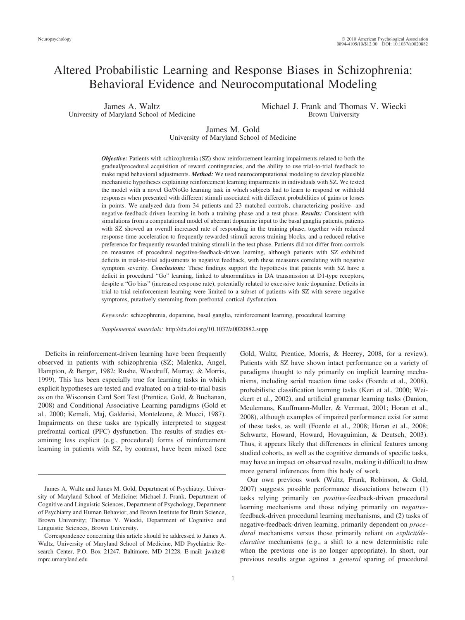### Altered Probabilistic Learning and Response Biases in Schizophrenia: Behavioral Evidence and Neurocomputational Modeling

James A. Waltz University of Maryland School of Medicine Michael J. Frank and Thomas V. Wiecki Brown University

James M. Gold University of Maryland School of Medicine

*Objective:* Patients with schizophrenia (SZ) show reinforcement learning impairments related to both the gradual/procedural acquisition of reward contingencies, and the ability to use trial-to-trial feedback to make rapid behavioral adjustments. *Method:* We used neurocomputational modeling to develop plausible mechanistic hypotheses explaining reinforcement learning impairments in individuals with SZ. We tested the model with a novel Go/NoGo learning task in which subjects had to learn to respond or withhold responses when presented with different stimuli associated with different probabilities of gains or losses in points. We analyzed data from 34 patients and 23 matched controls, characterizing positive- and negative-feedback-driven learning in both a training phase and a test phase. *Results:* Consistent with simulations from a computational model of aberrant dopamine input to the basal ganglia patients, patients with SZ showed an overall increased rate of responding in the training phase, together with reduced response-time acceleration to frequently rewarded stimuli across training blocks, and a reduced relative preference for frequently rewarded training stimuli in the test phase. Patients did not differ from controls on measures of procedural negative-feedback-driven learning, although patients with SZ exhibited deficits in trial-to-trial adjustments to negative feedback, with these measures correlating with negative symptom severity. *Conclusions:* These findings support the hypothesis that patients with SZ have a deficit in procedural "Go" learning, linked to abnormalities in DA transmission at D1-type receptors, despite a "Go bias" (increased response rate), potentially related to excessive tonic dopamine. Deficits in trial-to-trial reinforcement learning were limited to a subset of patients with SZ with severe negative symptoms, putatively stemming from prefrontal cortical dysfunction.

*Keywords:* schizophrenia, dopamine, basal ganglia, reinforcement learning, procedural learning

*Supplemental materials:* http://dx.doi.org/10.1037/a0020882.supp

Deficits in reinforcement-driven learning have been frequently observed in patients with schizophrenia (SZ; Malenka, Angel, Hampton, & Berger, 1982; Rushe, Woodruff, Murray, & Morris, 1999). This has been especially true for learning tasks in which explicit hypotheses are tested and evaluated on a trial-to-trial basis as on the Wisconsin Card Sort Test (Prentice, Gold, & Buchanan, 2008) and Conditional Associative Learning paradigms (Gold et al., 2000; Kemali, Maj, Galderisi, Monteleone, & Mucci, 1987). Impairments on these tasks are typically interpreted to suggest prefrontal cortical (PFC) dysfunction. The results of studies examining less explicit (e.g., procedural) forms of reinforcement learning in patients with SZ, by contrast, have been mixed (see Gold, Waltz, Prentice, Morris, & Heerey, 2008, for a review). Patients with SZ have shown intact performance on a variety of paradigms thought to rely primarily on implicit learning mechanisms, including serial reaction time tasks (Foerde et al., 2008), probabilistic classification learning tasks (Keri et al., 2000; Weickert et al., 2002), and artificial grammar learning tasks (Danion, Meulemans, Kauffmann-Muller, & Vermaat, 2001; Horan et al., 2008), although examples of impaired performance exist for some of these tasks, as well (Foerde et al., 2008; Horan et al., 2008; Schwartz, Howard, Howard, Hovaguimian, & Deutsch, 2003). Thus, it appears likely that differences in clinical features among studied cohorts, as well as the cognitive demands of specific tasks, may have an impact on observed results, making it difficult to draw more general inferences from this body of work.

Our own previous work (Waltz, Frank, Robinson, & Gold, 2007) suggests possible performance dissociations between (1) tasks relying primarily on *positive*-feedback-driven procedural learning mechanisms and those relying primarily on *negative*feedback-driven procedural learning mechanisms, and (2) tasks of negative-feedback-driven learning, primarily dependent on *procedural* mechanisms versus those primarily reliant on *explicit/declarative* mechanisms (e.g., a shift to a new deterministic rule when the previous one is no longer appropriate). In short, our previous results argue against a *general* sparing of procedural

James A. Waltz and James M. Gold, Department of Psychiatry, University of Maryland School of Medicine; Michael J. Frank, Department of Cognitive and Linguistic Sciences, Department of Psychology, Department of Psychiatry and Human Behavior, and Brown Institute for Brain Science, Brown University; Thomas V. Wiecki, Department of Cognitive and Linguistic Sciences, Brown University.

Correspondence concerning this article should be addressed to James A. Waltz, University of Maryland School of Medicine, MD Psychiatric Research Center, P.O. Box 21247, Baltimore, MD 21228. E-mail: jwaltz@ mprc.umaryland.edu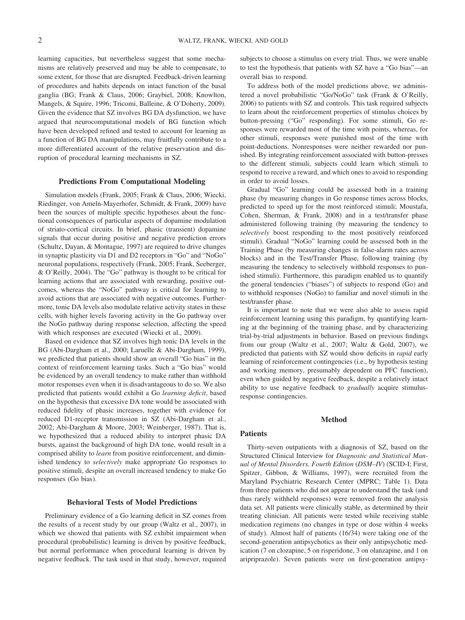learning capacities, but nevertheless suggest that some mechanisms are relatively preserved and may be able to compensate, to some extent, for those that are disrupted. Feedback-driven learning of procedures and habits depends on intact function of the basal ganglia (BG; Frank & Claus, 2006; Graybiel, 2008; Knowlton, Mangels, & Squire, 1996; Tricomi, Balleine, & O'Doherty, 2009). Given the evidence that SZ involves BG DA dysfunction, we have argued that neurocomputational models of BG function which have been developed refined and tested to account for learning as a function of BG DA manipulations, may fruitfully contribute to a more differentiated account of the relative preservation and disruption of procedural learning mechanisms in SZ.

#### **Predictions From Computational Modeling**

Simulation models (Frank, 2005; Frank & Claus, 2006; Wiecki, Riedinger, von Ameln-Mayerhofer, Schmidt, & Frank, 2009) have been the sources of multiple specific hypotheses about the functional consequences of particular aspects of dopamine modulation of striato-cortical circuits. In brief, phasic (transient) dopamine signals that occur during positive and negative prediction errors (Schultz, Dayan, & Montague, 1997) are required to drive changes in synaptic plasticity via D1 and D2 receptors in "Go" and "NoGo" neuronal populations, respectively (Frank, 2005; Frank, Seeberger, & O'Reilly, 2004). The "Go" pathway is thought to be critical for learning actions that are associated with rewarding, positive outcomes, whereas the "NoGo" pathway is critical for learning to avoid actions that are associated with negative outcomes. Furthermore, tonic DA levels also modulate relative activity states in these cells, with higher levels favoring activity in the Go pathway over the NoGo pathway during response selection, affecting the speed with which responses are executed (Wiecki et al., 2009).

Based on evidence that SZ involves high tonic DA levels in the BG (Abi-Dargham et al., 2000; Laruelle & Abi-Dargham, 1999), we predicted that patients should show an overall "Go bias" in the context of reinforcement learning tasks. Such a "Go bias" would be evidenced by an overall tendency to make rather than withhold motor responses even when it is disadvantageous to do so. We also predicted that patients would exhibit a Go *learning deficit*, based on the hypothesis that excessive DA tone would be associated with reduced fidelity of phasic increases, together with evidence for reduced D1-receptor transmission in SZ (Abi-Dargham et al., 2002; Abi-Dargham & Moore, 2003; Weinberger, 1987). That is, we hypothesized that a reduced ability to interpret phasic DA bursts, against the background of high DA tone, would result in a comprised ability to *learn* from positive reinforcement, and diminished tendency to *selectively* make appropriate Go responses to positive stimuli, despite an overall increased tendency to make Go responses (Go bias).

#### **Behavioral Tests of Model Predictions**

Preliminary evidence of a Go learning deficit in SZ comes from the results of a recent study by our group (Waltz et al., 2007), in which we showed that patients with SZ exhibit impairment when procedural (probabilistic) learning is driven by positive feedback, but normal performance when procedural learning is driven by negative feedback. The task used in that study, however, required subjects to choose a stimulus on every trial. Thus, we were unable to test the hypothesis that patients with SZ have a "Go bias"—an overall bias to respond.

To address both of the model predictions above, we administered a novel probabilistic "Go/NoGo" task (Frank & O'Reilly, 2006) to patients with SZ and controls. This task required subjects to learn about the reinforcement properties of stimulus choices by button-pressing ("Go" responding). For some stimuli, Go responses were rewarded most of the time with points, whereas, for other stimuli, responses were punished most of the time with point-deductions. Nonresponses were neither rewarded nor punished. By integrating reinforcement associated with button-presses to the different stimuli, subjects could learn which stimuli to respond to receive a reward, and which ones to avoid to responding in order to avoid losses.

Gradual "Go" learning could be assessed both in a training phase (by measuring changes in Go response times across blocks, predicted to speed up for the most reinforced stimuli; Moustafa, Cohen, Sherman, & Frank, 2008) and in a test/transfer phase administered following training (by measuring the tendency to *selectively* boost responding to the most positively reinforced stimuli). Gradual "NoGo" learning could be assessed both in the Training Phase (by measuring changes in false-alarm rates across blocks) and in the Test/Transfer Phase, following training (by measuring the tendency to selectively withhold responses to punished stimuli). Furthermore, this paradigm enabled us to quantify the general tendencies ("biases") of subjects to respond (Go) and to withhold responses (NoGo) to familiar and novel stimuli in the test/transfer phase.

It is important to note that we were also able to assess rapid reinforcement learning using this paradigm, by quantifying learning at the beginning of the training phase, and by characterizing trial-by-trial adjustments in behavior. Based on previous findings from our group (Waltz et al., 2007; Waltz & Gold, 2007), we predicted that patients with SZ would show deficits in *rapid* early learning of reinforcement contingencies (i.e., by hypothesis testing and working memory, presumably dependent on PFC function), even when guided by negative feedback, despite a relatively intact ability to use negative feedback to *gradually* acquire stimulusresponse contingencies.

#### **Method**

#### **Patients**

Thirty-seven outpatients with a diagnosis of SZ, based on the Structured Clinical Interview for *Diagnostic and Statistical Manual of Mental Disorders, Fourth Edition* (*DSM–IV*) (SCID-I; First, Spitzer, Gibbon, & Williams, 1997), were recruited from the Maryland Psychiatric Research Center (MPRC; Table 1). Data from three patients who did not appear to understand the task (and thus rarely withheld responses) were removed from the analysis data set. All patients were clinically stable, as determined by their treating clinician. All patients were tested while receiving stable medication regimens (no changes in type or dose within 4 weeks of study). Almost half of patients (16/34) were taking one of the second-generation antipsychotics as their only antipsychotic medication (7 on clozapine, 5 on risperidone, 3 on olanzapine, and 1 on aripriprazole). Seven patients were on first-generation antipsy-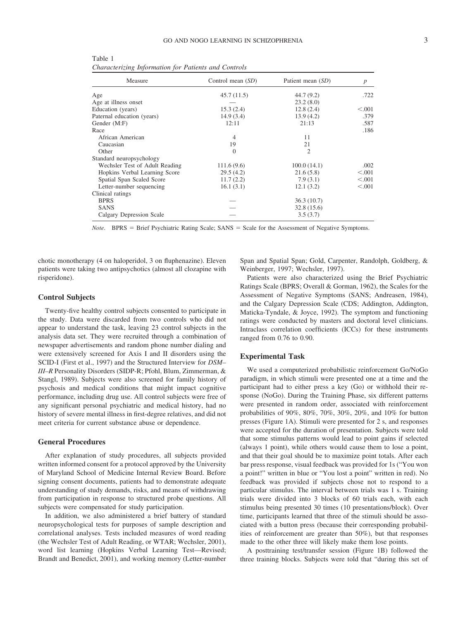|   | i | ٠ |   |
|---|---|---|---|
|   | I |   |   |
|   |   |   |   |
|   |   |   |   |
|   |   |   | ٦ |
| × |   | v | I |

| Measure                        | Control mean $(SD)$ | Patient mean (SD) | $\boldsymbol{p}$ |  |
|--------------------------------|---------------------|-------------------|------------------|--|
| Age                            | 45.7(11.5)          | 44.7 (9.2)        | .722             |  |
| Age at illness onset           |                     | 23.2(8.0)         |                  |  |
| Education (years)              | 15.3(2.4)           | 12.8(2.4)         | < 0.001          |  |
| Paternal education (years)     | 14.9(3.4)           | 13.9(4.2)         | .379             |  |
| Gender (M:F)                   | 12:11               | 21:13             | .587             |  |
| Race                           |                     |                   | .186             |  |
| African American               | 4                   | 11                |                  |  |
| Caucasian                      | 19                  | 21                |                  |  |
| Other                          | $\Omega$            | $\overline{2}$    |                  |  |
| Standard neuropsychology       |                     |                   |                  |  |
| Wechsler Test of Adult Reading | 111.6(9.6)          | 100.0(14.1)       | .002             |  |
| Hopkins Verbal Learning Score  | 29.5(4.2)           | 21.6(5.8)         | < 0.001          |  |
| Spatial Span Scaled Score      | 11.7(2.2)           | 7.9(3.1)          | < 0.001          |  |
| Letter-number sequencing       | 16.1(3.1)           | 12.1(3.2)         | < 0.001          |  |
| Clinical ratings               |                     |                   |                  |  |
| <b>BPRS</b>                    |                     | 36.3(10.7)        |                  |  |
| <b>SANS</b>                    |                     | 32.8(15.6)        |                  |  |
| Calgary Depression Scale       |                     | 3.5(3.7)          |                  |  |

Table 1 *Characterizing Information for Patients and Controls*

Note. BPRS = Brief Psychiatric Rating Scale; SANS = Scale for the Assessment of Negative Symptoms.

chotic monotherapy (4 on haloperidol, 3 on fluphenazine). Eleven patients were taking two antipsychotics (almost all clozapine with risperidone).

#### **Control Subjects**

Twenty-five healthy control subjects consented to participate in the study. Data were discarded from two controls who did not appear to understand the task, leaving 23 control subjects in the analysis data set. They were recruited through a combination of newspaper advertisements and random phone number dialing and were extensively screened for Axis I and II disorders using the SCID-I (First et al., 1997) and the Structured Interview for *DSM– III–R* Personality Disorders (SIDP-R; Pfohl, Blum, Zimmerman, & Stangl, 1989). Subjects were also screened for family history of psychosis and medical conditions that might impact cognitive performance, including drug use. All control subjects were free of any significant personal psychiatric and medical history, had no history of severe mental illness in first-degree relatives, and did not meet criteria for current substance abuse or dependence.

#### **General Procedures**

After explanation of study procedures, all subjects provided written informed consent for a protocol approved by the University of Maryland School of Medicine Internal Review Board. Before signing consent documents, patients had to demonstrate adequate understanding of study demands, risks, and means of withdrawing from participation in response to structured probe questions. All subjects were compensated for study participation.

In addition, we also administered a brief battery of standard neuropsychological tests for purposes of sample description and correlational analyses. Tests included measures of word reading (the Wechsler Test of Adult Reading, or WTAR; Wechsler, 2001), word list learning (Hopkins Verbal Learning Test—Revised; Brandt and Benedict, 2001), and working memory (Letter-number Span and Spatial Span; Gold, Carpenter, Randolph, Goldberg, & Weinberger, 1997; Wechsler, 1997).

Patients were also characterized using the Brief Psychiatric Ratings Scale (BPRS; Overall & Gorman, 1962), the Scales for the Assessment of Negative Symptoms (SANS; Andreasen, 1984), and the Calgary Depression Scale (CDS; Addington, Addington, Maticka-Tyndale, & Joyce, 1992). The symptom and functioning ratings were conducted by masters and doctoral level clinicians. Intraclass correlation coefficients (ICCs) for these instruments ranged from 0.76 to 0.90.

#### **Experimental Task**

We used a computerized probabilistic reinforcement Go/NoGo paradigm, in which stimuli were presented one at a time and the participant had to either press a key (Go) or withhold their response (NoGo). During the Training Phase, six different patterns were presented in random order, associated with reinforcement probabilities of 90%, 80%, 70%, 30%, 20%, and 10% for button presses (Figure 1A). Stimuli were presented for 2 s, and responses were accepted for the duration of presentation. Subjects were told that some stimulus patterns would lead to point gains if selected (always 1 point), while others would cause them to lose a point, and that their goal should be to maximize point totals. After each bar press response, visual feedback was provided for 1s ("You won a point!" written in blue or "You lost a point" written in red). No feedback was provided if subjects chose not to respond to a particular stimulus. The interval between trials was 1 s. Training trials were divided into 3 blocks of 60 trials each, with each stimulus being presented 30 times (10 presentations/block). Over time, participants learned that three of the stimuli should be associated with a button press (because their corresponding probabilities of reinforcement are greater than 50%), but that responses made to the other three will likely make them lose points.

A posttraining test/transfer session (Figure 1B) followed the three training blocks. Subjects were told that "during this set of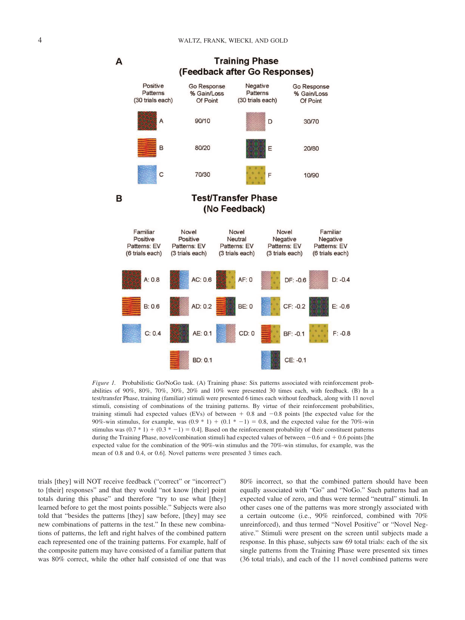**Training Phase** 



*Figure 1.* Probabilistic Go/NoGo task. (A) Training phase: Six patterns associated with reinforcement probabilities of 90%, 80%, 70%, 30%, 20% and 10% were presented 30 times each, with feedback. (B) In a test/transfer Phase, training (familiar) stimuli were presented 6 times each without feedback, along with 11 novel stimuli, consisting of combinations of the training patterns. By virtue of their reinforcement probabilities, training stimuli had expected values (EVs) of between  $+$  0.8 and  $-0.8$  points [the expected value for the 90%-win stimulus, for example, was  $(0.9 * 1) + (0.1 * -1) = 0.8$ , and the expected value for the 70%-win stimulus was  $(0.7 * 1) + (0.3 * -1) = 0.4$ . Based on the reinforcement probability of their constituent patterns during the Training Phase, novel/combination stimuli had expected values of between  $-0.6$  and  $+0.6$  points [the expected value for the combination of the 90%-win stimulus and the 70%-win stimulus, for example, was the mean of 0.8 and 0.4, or 0.6]. Novel patterns were presented 3 times each.

**BD: 0.1** 

trials [they] will NOT receive feedback ("correct" or "incorrect") to [their] responses" and that they would "not know [their] point totals during this phase" and therefore "try to use what [they] learned before to get the most points possible." Subjects were also told that "besides the patterns [they] saw before, [they] may see new combinations of patterns in the test." In these new combinations of patterns, the left and right halves of the combined pattern each represented one of the training patterns. For example, half of the composite pattern may have consisted of a familiar pattern that was 80% correct, while the other half consisted of one that was

80% incorrect, so that the combined pattern should have been equally associated with "Go" and "NoGo." Such patterns had an expected value of zero, and thus were termed "neutral" stimuli. In other cases one of the patterns was more strongly associated with a certain outcome (i.e., 90% reinforced, combined with 70% unreinforced), and thus termed "Novel Positive" or "Novel Negative." Stimuli were present on the screen until subjects made a response. In this phase, subjects saw 69 total trials: each of the six single patterns from the Training Phase were presented six times (36 total trials), and each of the 11 novel combined patterns were

 $BF: -0.1$ 

 $CE: -0.1$ 

A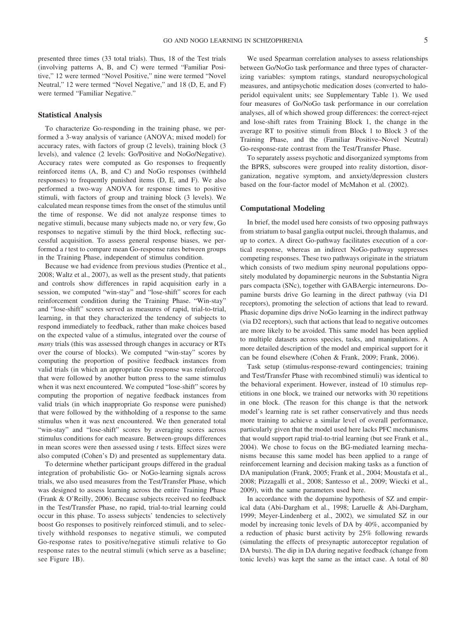presented three times (33 total trials). Thus, 18 of the Test trials (involving patterns A, B, and C) were termed "Familiar Positive," 12 were termed "Novel Positive," nine were termed "Novel Neutral," 12 were termed "Novel Negative," and 18 (D, E, and F) were termed "Familiar Negative."

#### **Statistical Analysis**

To characterize Go-responding in the training phase, we performed a 3-way analysis of variance (ANOVA; mixed model) for accuracy rates, with factors of group (2 levels), training block (3 levels), and valence (2 levels: Go/Positive and NoGo/Negative). Accuracy rates were computed as Go responses to frequently reinforced items (A, B, and C) and NoGo responses (withheld responses) to frequently punished items (D, E, and F). We also performed a two-way ANOVA for response times to positive stimuli, with factors of group and training block (3 levels). We calculated mean response times from the onset of the stimulus until the time of response. We did not analyze response times to negative stimuli, because many subjects made no, or very few, Go responses to negative stimuli by the third block, reflecting successful acquisition. To assess general response biases, we performed a *t* test to compare mean Go-response rates between groups in the Training Phase, independent of stimulus condition.

Because we had evidence from previous studies (Prentice et al., 2008; Waltz et al., 2007), as well as the present study, that patients and controls show differences in rapid acquisition early in a session, we computed "win-stay" and "lose-shift" scores for each reinforcement condition during the Training Phase. "Win-stay" and "lose-shift" scores served as measures of rapid, trial-to-trial, learning, in that they characterized the tendency of subjects to respond immediately to feedback, rather than make choices based on the expected value of a stimulus, integrated over the course of *many* trials (this was assessed through changes in accuracy or RTs over the course of blocks). We computed "win-stay" scores by computing the proportion of positive feedback instances from valid trials (in which an appropriate Go response was reinforced) that were followed by another button press to the same stimulus when it was next encountered. We computed "lose-shift" scores by computing the proportion of negative feedback instances from valid trials (in which inappropriate Go response were punished) that were followed by the withholding of a response to the same stimulus when it was next encountered. We then generated total "win-stay" and "lose-shift" scores by averaging scores across stimulus conditions for each measure. Between-groups differences in mean scores were then assessed using *t* tests. Effect sizes were also computed (Cohen's D) and presented as supplementary data.

To determine whether participant groups differed in the gradual integration of probabilistic Go- or NoGo-learning signals across trials, we also used measures from the Test/Transfer Phase, which was designed to assess learning across the entire Training Phase (Frank & O'Reilly, 2006). Because subjects received no feedback in the Test/Transfer Phase, no rapid, trial-to-trial learning could occur in this phase. To assess subjects' tendencies to selectively boost Go responses to positively reinforced stimuli, and to selectively withhold responses to negative stimuli, we computed Go-response rates to positive/negative stimuli relative to Go response rates to the neutral stimuli (which serve as a baseline; see Figure 1B).

We used Spearman correlation analyses to assess relationships between Go/NoGo task performance and three types of characterizing variables: symptom ratings, standard neuropsychological measures, and antipsychotic medication doses (converted to haloperidol equivalent units; see Supplementary Table 1). We used four measures of Go/NoGo task performance in our correlation analyses, all of which showed group differences: the correct-reject and lose-shift rates from Training Block 1, the change in the average RT to positive stimuli from Block 1 to Block 3 of the Training Phase, and the (Familiar Positive–Novel Neutral) Go-response-rate contrast from the Test/Transfer Phase.

To separately assess psychotic and disorganized symptoms from the BPRS, subscores were grouped into reality distortion, disorganization, negative symptom, and anxiety/depression clusters based on the four-factor model of McMahon et al. (2002).

#### **Computational Modeling**

In brief, the model used here consists of two opposing pathways from striatum to basal ganglia output nuclei, through thalamus, and up to cortex. A direct Go-pathway facilitates execution of a cortical response, whereas an indirect NoGo-pathway suppresses competing responses. These two pathways originate in the striatum which consists of two medium spiny neuronal populations oppositely modulated by dopaminergic neurons in the Substantia Nigra pars compacta (SNc), together with GABAergic interneurons. Dopamine bursts drive Go learning in the direct pathway (via D1 receptors), promoting the selection of actions that lead to reward. Phasic dopamine dips drive NoGo learning in the indirect pathway (via D2 receptors), such that actions that lead to negative outcomes are more likely to be avoided. This same model has been applied to multiple datasets across species, tasks, and manipulations. A more detailed description of the model and empirical support for it can be found elsewhere (Cohen & Frank, 2009; Frank, 2006).

Task setup (stimulus-response-reward contingencies; training and Test/Transfer Phase with recombined stimuli) was identical to the behavioral experiment. However, instead of 10 stimulus repetitions in one block, we trained our networks with 30 repetitions in one block. (The reason for this change is that the network model's learning rate is set rather conservatively and thus needs more training to achieve a similar level of overall performance, particularly given that the model used here lacks PFC mechanisms that would support rapid trial-to-trial learning (but see Frank et al., 2004). We chose to focus on the BG-mediated learning mechanisms because this same model has been applied to a range of reinforcement learning and decision making tasks as a function of DA manipulation (Frank, 2005; Frank et al., 2004; Moustafa et al., 2008; Pizzagalli et al., 2008; Santesso et al., 2009; Wiecki et al., 2009), with the same parameters used here.

In accordance with the dopamine hypothesis of SZ and empirical data (Abi-Dargham et al., 1998; Laruelle & Abi-Dargham, 1999; Meyer-Lindenberg et al., 2002), we simulated SZ in our model by increasing tonic levels of DA by 40%, accompanied by a reduction of phasic burst activity by 25% following rewards (simulating the effects of presynaptic autoreceptor regulation of DA bursts). The dip in DA during negative feedback (change from tonic levels) was kept the same as the intact case. A total of 80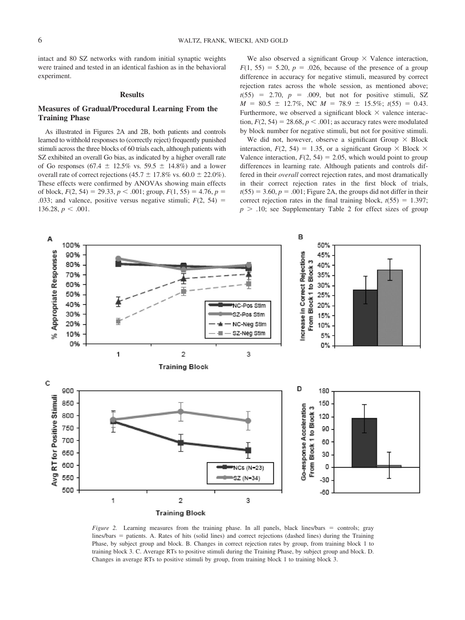intact and 80 SZ networks with random initial synaptic weights were trained and tested in an identical fashion as in the behavioral experiment.

#### **Results**

#### **Measures of Gradual/Procedural Learning From the Training Phase**

As illustrated in Figures 2A and 2B, both patients and controls learned to withhold responses to (correctly reject) frequently punished stimuli across the three blocks of 60 trials each, although patients with SZ exhibited an overall Go bias, as indicated by a higher overall rate of Go responses (67.4  $\pm$  12.5% vs. 59.5  $\pm$  14.8%) and a lower overall rate of correct rejections (45.7  $\pm$  17.8% vs. 60.0  $\pm$  22.0%). These effects were confirmed by ANOVAs showing main effects of block,  $F(2, 54) = 29.33, p < .001$ ; group,  $F(1, 55) = 4.76, p =$ .033; and valence, positive versus negative stimuli;  $F(2, 54) =$ 136.28,  $p < .001$ .

We also observed a significant Group  $\times$  Valence interaction,  $F(1, 55) = 5.20$ ,  $p = .026$ , because of the presence of a group difference in accuracy for negative stimuli, measured by correct rejection rates across the whole session, as mentioned above;  $t(55) = 2.70$ ,  $p = .009$ , but not for positive stimuli, SZ  $M = 80.5 \pm 12.7\%, \text{ NC } M = 78.9 \pm 15.5\%; t(55) = 0.43.$ Furthermore, we observed a significant block  $\times$  valence interaction,  $F(2, 54) = 28.68$ ,  $p < .001$ ; as accuracy rates were modulated by block number for negative stimuli, but not for positive stimuli.

We did not, however, observe a significant Group  $\times$  Block interaction,  $F(2, 54) = 1.35$ , or a significant Group  $\times$  Block  $\times$ Valence interaction,  $F(2, 54) = 2.05$ , which would point to group differences in learning rate. Although patients and controls differed in their *overall* correct rejection rates, and most dramatically in their correct rejection rates in the first block of trials,  $t(55) = 3.60, p = .001$ ; Figure 2A, the groups did not differ in their correct rejection rates in the final training block,  $t(55) = 1.397$ ;  $p > 0.10$ ; see Supplementary Table 2 for effect sizes of group



*Figure 2.* Learning measures from the training phase. In all panels, black lines/bars = controls; gray lines/bars = patients. A. Rates of hits (solid lines) and correct rejections (dashed lines) during the Training Phase, by subject group and block. B. Changes in correct rejection rates by group, from training block 1 to training block 3. C. Average RTs to positive stimuli during the Training Phase, by subject group and block. D. Changes in average RTs to positive stimuli by group, from training block 1 to training block 3.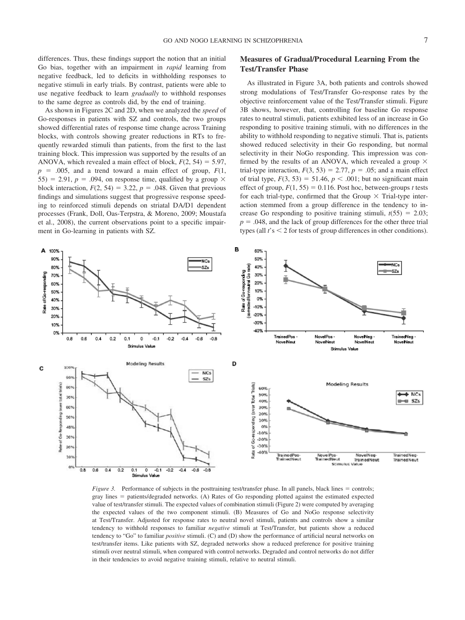differences. Thus, these findings support the notion that an initial Go bias, together with an impairment in *rapid* learning from negative feedback, led to deficits in withholding responses to negative stimuli in early trials. By contrast, patients were able to use negative feedback to learn *gradually* to withhold responses to the same degree as controls did, by the end of training.

As shown in Figures 2C and 2D, when we analyzed the *speed* of Go-responses in patients with SZ and controls, the two groups showed differential rates of response time change across Training blocks, with controls showing greater reductions in RTs to frequently rewarded stimuli than patients, from the first to the last training block. This impression was supported by the results of an ANOVA, which revealed a main effect of block,  $F(2, 54) = 5.97$ ,  $p = .005$ , and a trend toward a main effect of group,  $F(1, 0)$ 55) = 2.91,  $p = 0.094$ , on response time, qualified by a group  $\times$ block interaction,  $F(2, 54) = 3.22$ ,  $p = .048$ . Given that previous findings and simulations suggest that progressive response speeding to reinforced stimuli depends on striatal DA/D1 dependent processes (Frank, Doll, Oas-Terpstra, & Moreno, 2009; Moustafa et al., 2008), the current observations point to a specific impairment in Go-learning in patients with SZ.

#### **Measures of Gradual/Procedural Learning From the Test/Transfer Phase**

As illustrated in Figure 3A, both patients and controls showed strong modulations of Test/Transfer Go-response rates by the objective reinforcement value of the Test/Transfer stimuli. Figure 3B shows, however, that, controlling for baseline Go response rates to neutral stimuli, patients exhibited less of an increase in Go responding to positive training stimuli, with no differences in the ability to withhold responding to negative stimuli. That is, patients showed reduced selectivity in their Go responding, but normal selectivity in their NoGo responding. This impression was confirmed by the results of an ANOVA, which revealed a group  $\times$ trial-type interaction,  $F(3, 53) = 2.77$ ,  $p = .05$ ; and a main effect of trial type,  $F(3, 53) = 51.46$ ,  $p < .001$ ; but no significant main effect of group,  $F(1, 55) = 0.116$ . Post hoc, between-groups *t* tests for each trial-type, confirmed that the Group  $\times$  Trial-type interaction stemmed from a group difference in the tendency to increase Go responding to positive training stimuli,  $t(55) = 2.03$ ;  $p = 0.048$ , and the lack of group differences for the other three trial types (all  $t$ 's  $\leq$  2 for tests of group differences in other conditions).



*Figure 3.* Performance of subjects in the posttraining test/transfer phase. In all panels, black lines = controls; gray lines = patients/degraded networks. (A) Rates of Go responding plotted against the estimated expected value of test/transfer stimuli. The expected values of combination stimuli (Figure 2) were computed by averaging the expected values of the two component stimuli. (B) Measures of Go and NoGo response selectivity at Test/Transfer. Adjusted for response rates to neutral novel stimuli, patients and controls show a similar tendency to withhold responses to familiar *negative* stimuli at Test/Transfer, but patients show a reduced tendency to "Go" to familiar *positive* stimuli. (C) and (D) show the performance of artificial neural networks on test/transfer items. Like patients with SZ, degraded networks show a reduced preference for positive training stimuli over neutral stimuli, when compared with control networks. Degraded and control networks do not differ in their tendencies to avoid negative training stimuli, relative to neutral stimuli.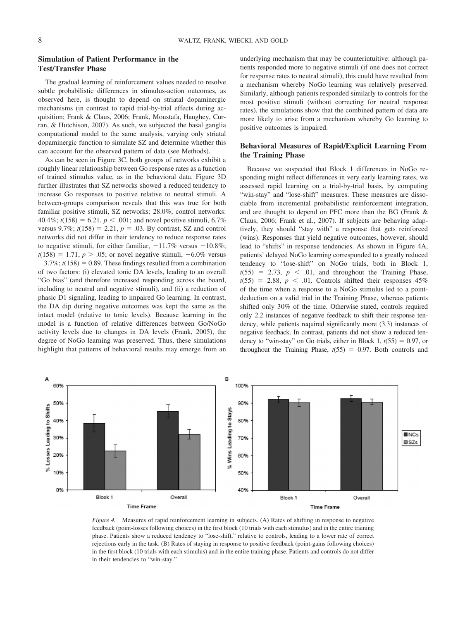#### **Simulation of Patient Performance in the Test/Transfer Phase**

The gradual learning of reinforcement values needed to resolve subtle probabilistic differences in stimulus-action outcomes, as observed here, is thought to depend on striatal dopaminergic mechanisms (in contrast to rapid trial-by-trial effects during acquisition; Frank & Claus, 2006; Frank, Moustafa, Haughey, Curran, & Hutchison, 2007). As such, we subjected the basal ganglia computational model to the same analysis, varying only striatal dopaminergic function to simulate SZ and determine whether this can account for the observed pattern of data (see Methods).

As can be seen in Figure 3C, both groups of networks exhibit a roughly linear relationship between Go response rates as a function of trained stimulus value, as in the behavioral data. Figure 3D further illustrates that SZ networks showed a reduced tendency to increase Go responses to positive relative to neutral stimuli. A between-groups comparison reveals that this was true for both familiar positive stimuli, SZ networks: 28.0%, control networks:  $40.4\%$ ;  $t(158) = 6.21$ ,  $p < .001$ ; and novel positive stimuli, 6.7% versus 9.7%;  $t(158) = 2.21$ ,  $p = .03$ . By contrast, SZ and control networks did not differ in their tendency to reduce response rates to negative stimuli, for either familiar,  $-11.7\%$  versus  $-10.8\%$ ;  $t(158) = 1.71$ ,  $p > .05$ ; or novel negative stimuli,  $-6.0\%$  versus  $-3.7\%$ ;  $t(158) = 0.89$ . These findings resulted from a combination of two factors: (i) elevated tonic DA levels, leading to an overall "Go bias" (and therefore increased responding across the board, including to neutral and negative stimuli), and (ii) a reduction of phasic D1 signaling, leading to impaired Go learning. In contrast, the DA dip during negative outcomes was kept the same as the intact model (relative to tonic levels). Because learning in the model is a function of relative differences between Go/NoGo activity levels due to changes in DA levels (Frank, 2005), the degree of NoGo learning was preserved. Thus, these simulations highlight that patterns of behavioral results may emerge from an underlying mechanism that may be counterintuitive: although patients responded more to negative stimuli (if one does not correct for response rates to neutral stimuli), this could have resulted from a mechanism whereby NoGo learning was relatively preserved. Similarly, although patients responded similarly to controls for the most positive stimuli (without correcting for neutral response rates), the simulations show that the combined pattern of data are more likely to arise from a mechanism whereby Go learning to positive outcomes is impaired.

#### **Behavioral Measures of Rapid/Explicit Learning From the Training Phase**

Because we suspected that Block 1 differences in NoGo responding might reflect differences in very early learning rates, we assessed rapid learning on a trial-by-trial basis, by computing "win-stay" and "lose-shift" measures. These measures are dissociable from incremental probabilistic reinforcement integration, and are thought to depend on PFC more than the BG (Frank & Claus, 2006; Frank et al., 2007). If subjects are behaving adaptively, they should "stay with" a response that gets reinforced (wins). Responses that yield negative outcomes, however, should lead to "shifts" in response tendencies. As shown in Figure 4A, patients' delayed NoGo learning corresponded to a greatly reduced tendency to "lose-shift" on NoGo trials, both in Block 1,  $t(55) = 2.73$ ,  $p < .01$ , and throughout the Training Phase,  $t(55) = 2.88, p < .01$ . Controls shifted their responses 45% of the time when a response to a NoGo stimulus led to a pointdeduction on a valid trial in the Training Phase, whereas patients shifted only 30% of the time. Otherwise stated, controls required only 2.2 instances of negative feedback to shift their response tendency, while patients required significantly more (3.3) instances of negative feedback. In contrast, patients did not show a reduced tendency to "win-stay" on Go trials, either in Block 1,  $t(55) = 0.97$ , or throughout the Training Phase,  $t(55) = 0.97$ . Both controls and



*Figure 4.* Measures of rapid reinforcement learning in subjects. (A) Rates of shifting in response to negative feedback (point-losses following choices) in the first block (10 trials with each stimulus) and in the entire training phase. Patients show a reduced tendency to "lose-shift," relative to controls, leading to a lower rate of correct rejections early in the task. (B) Rates of staying in response to positive feedback (point-gains following choices) in the first block (10 trials with each stimulus) and in the entire training phase. Patients and controls do not differ in their tendencies to "win-stay."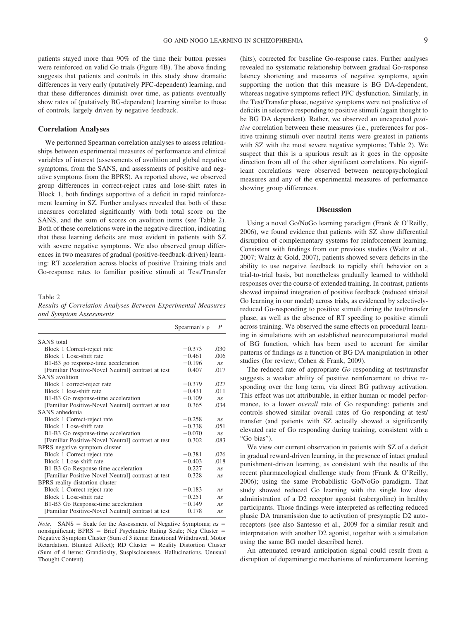patients stayed more than 90% of the time their button presses were reinforced on valid Go trials (Figure 4B). The above finding suggests that patients and controls in this study show dramatic differences in very early (putatively PFC-dependent) learning, and that these differences diminish over time, as patients eventually show rates of (putatively BG-dependent) learning similar to those of controls, largely driven by negative feedback.

#### **Correlation Analyses**

We performed Spearman correlation analyses to assess relationships between experimental measures of performance and clinical variables of interest (assessments of avolition and global negative symptoms, from the SANS, and assessments of positive and negative symptoms from the BPRS). As reported above, we observed group differences in correct-reject rates and lose-shift rates in Block 1, both findings supportive of a deficit in rapid reinforcement learning in SZ. Further analyses revealed that both of these measures correlated significantly with both total score on the SANS, and the sum of scores on avolition items (see Table 2). Both of these correlations were in the negative direction, indicating that these learning deficits are most evident in patients with SZ with severe negative symptoms. We also observed group differences in two measures of gradual (positive-feedback-driven) learning: RT acceleration across blocks of positive Training trials and Go-response rates to familiar positive stimuli at Test/Transfer

Table 2

*Results of Correlation Analyses Between Experimental Measures and Symptom Assessments*

|                                                    | Spearman's $\rho$ | P              |
|----------------------------------------------------|-------------------|----------------|
| <b>SANS</b> total                                  |                   |                |
| Block 1 Correct-reject rate                        | $-0.373$          | .030           |
| Block 1 Lose-shift rate                            | $-0.461$          | .006           |
| B1-B3 go response-time acceleration                | $-0.196$          | $n_{\rm S}$    |
| [Familiar Positive-Novel Neutral] contrast at test | 0.407             | .017           |
| <b>SANS</b> avolition                              |                   |                |
| Block 1 correct-reject rate                        | $-0.379$          | .027           |
| Block 1 lose-shift rate                            | $-0.431$          | .011           |
| B1-B3 Go response-time acceleration                | $-0.109$          | $n_{\rm S}$    |
| [Familiar Positive-Novel Neutral] contrast at test | 0.365             | .034           |
| SANS anhedonia                                     |                   |                |
| Block 1 Correct-reject rate                        | $-0.258$          | $n_{\rm S}$    |
| Block 1 Lose-shift rate                            | $-0.338$          | .051           |
| B1-B3 Go response-time acceleration                | $-0.070$          | $n_{\rm S}$    |
| [Familiar Positive-Novel Neutral] contrast at test | 0.302             | .083           |
| BPRS negative symptom cluster                      |                   |                |
| Block 1 Correct-reject rate                        | $-0.381$          | .026           |
| Block 1 Lose-shift rate                            | $-0.403$          | .018           |
| B1-B3 Go Response-time acceleration                | 0.227             | $n_{\rm S}$    |
| [Familiar Positive-Novel Neutral] contrast at test | 0.328             | n <sub>s</sub> |
| BPRS reality distortion cluster                    |                   |                |
| Block 1 Correct-reject rate                        | $-0.183$          | n <sub>s</sub> |
| Block 1 Lose-shift rate                            | $-0.251$          | n <sub>s</sub> |
| B1-B3 Go Response-time acceleration                | $-0.149$          | n <sub>s</sub> |
| [Familiar Positive-Novel Neutral] contrast at test | 0.178             | ns             |

*Note.* SANS = Scale for the Assessment of Negative Symptoms;  $ns =$ nonsignificant; BPRS = Brief Psychiatric Rating Scale; Neg Cluster = Negative Symptom Cluster (Sum of 3 items: Emotional Withdrawal, Motor Retardation, Blunted Affect); RD Cluster = Reality Distortion Cluster (Sum of 4 items: Grandiosity, Suspisciousness, Hallucinations, Unusual Thought Content).

(hits), corrected for baseline Go-response rates. Further analyses revealed no systematic relationship between gradual Go-response latency shortening and measures of negative symptoms, again supporting the notion that this measure is BG DA-dependent, whereas negative symptoms reflect PFC dysfunction. Similarly, in the Test/Transfer phase, negative symptoms were not predictive of deficits in selective responding to positive stimuli (again thought to be BG DA dependent). Rather, we observed an unexpected *positive* correlation between these measures (i.e., preferences for positive training stimuli over neutral items were greatest in patients with SZ with the most severe negative symptoms; Table 2). We suspect that this is a spurious result as it goes in the opposite direction from all of the other significant correlations. No significant correlations were observed between neuropsychological measures and any of the experimental measures of performance showing group differences.

#### **Discussion**

Using a novel Go/NoGo learning paradigm (Frank & O'Reilly, 2006), we found evidence that patients with SZ show differential disruption of complementary systems for reinforcement learning. Consistent with findings from our previous studies (Waltz et al., 2007; Waltz & Gold, 2007), patients showed severe deficits in the ability to use negative feedback to rapidly shift behavior on a trial-to-trial basis, but nonetheless gradually learned to withhold responses over the course of extended training. In contrast, patients showed impaired integration of positive feedback (reduced striatal Go learning in our model) across trials, as evidenced by selectivelyreduced Go-responding to positive stimuli during the test/transfer phase, as well as the absence of RT speeding to positive stimuli across training. We observed the same effects on procedural learning in simulations with an established neurocomputational model of BG function, which has been used to account for similar patterns of findings as a function of BG DA manipulation in other studies (for review; Cohen & Frank, 2009).

The reduced rate of appropriate *Go* responding at test/transfer suggests a weaker ability of positive reinforcement to drive responding over the long term, via direct BG pathway activation. This effect was not attributable, in either human or model performance, to a lower *overall* rate of Go responding: patients and controls showed similar overall rates of Go responding at test/ transfer (and patients with SZ actually showed a significantly elevated rate of Go responding during training, consistent with a "Go bias").

We view our current observation in patients with SZ of a deficit in gradual reward-driven learning, in the presence of intact gradual punishment-driven learning, as consistent with the results of the recent pharmacological challenge study from (Frank & O'Reilly, 2006); using the same Probabilistic Go/NoGo paradigm. That study showed reduced Go learning with the single low dose administration of a D2 receptor agonist (cabergoline) in healthy participants. Those findings were interpreted as reflecting reduced phasic DA transmission due to activation of presynaptic D2 autoreceptors (see also Santesso et al., 2009 for a similar result and interpretation with another D2 agonist, together with a simulation using the same BG model described here).

An attenuated reward anticipation signal could result from a disruption of dopaminergic mechanisms of reinforcement learning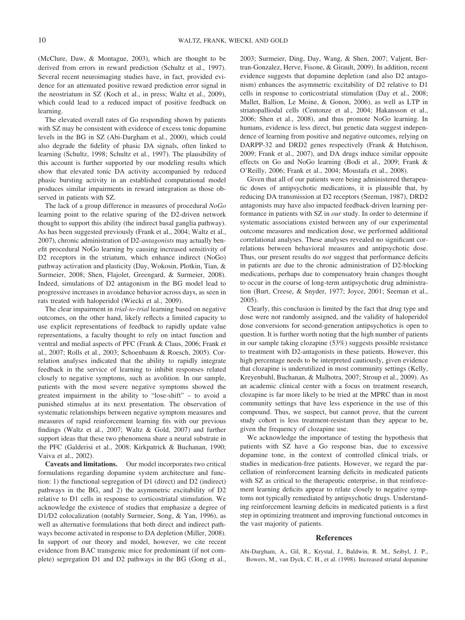(McClure, Daw, & Montague, 2003), which are thought to be derived from errors in reward prediction (Schultz et al., 1997). Several recent neuroimaging studies have, in fact, provided evidence for an attenuated positive reward prediction error signal in the neostriatum in SZ (Koch et al., in press; Waltz et al., 2009), which could lead to a reduced impact of positive feedback on learning.

The elevated overall rates of Go responding shown by patients with SZ may be consistent with evidence of excess tonic dopamine levels in the BG in SZ (Abi-Dargham et al., 2000), which could also degrade the fidelity of phasic DA signals, often linked to learning (Schultz, 1998; Schultz et al., 1997). The plausibility of this account is further supported by our modeling results which show that elevated tonic DA activity accompanied by reduced phasic bursting activity in an established computational model produces similar impairments in reward integration as those observed in patients with SZ.

The lack of a group difference in measures of procedural *NoGo* learning point to the relative sparing of the D2-driven network thought to support this ability (the indirect basal ganglia pathway). As has been suggested previously (Frank et al., 2004; Waltz et al., 2007), chronic administration of D2-*antagonists* may actually benefit procedural NoGo learning by causing increased sensitivity of D2 receptors in the striatum, which enhance indirect (NoGo) pathway activation and plasticity (Day, Wokosin, Plotkin, Tian, & Surmeier, 2008; Shen, Flajolet, Greengard, & Surmeier, 2008). Indeed, simulations of D2 antagonism in the BG model lead to progressive increases in avoidance behavior across days, as seen in rats treated with haloperidol (Wiecki et al., 2009).

The clear impairment in *trial-to-trial* learning based on negative outcomes, on the other hand, likely reflects a limited capacity to use explicit representations of feedback to rapidly update value representations, a faculty thought to rely on intact function and ventral and medial aspects of PFC (Frank & Claus, 2006; Frank et al., 2007; Rolls et al., 2003; Schoenbaum & Roesch, 2005). Correlation analyses indicated that the ability to rapidly integrate feedback in the service of learning to inhibit responses related closely to negative symptoms, such as avolition. In our sample, patients with the most severe negative symptoms showed the greatest impairment in the ability to "lose-shift" – to avoid a punished stimulus at its next presentation. The observation of systematic relationships between negative symptom measures and measures of rapid reinforcement learning fits with our previous findings (Waltz et al., 2007; Waltz & Gold, 2007) and further support ideas that these two phenomena share a neural substrate in the PFC (Galderisi et al., 2008; Kirkpatrick & Buchanan, 1990; Vaiva et al., 2002).

**Caveats and limitations.** Our model incorporates two critical formulations regarding dopamine system architecture and function: 1) the functional segregation of D1 (direct) and D2 (indirect) pathways in the BG, and 2) the asymmetric excitability of D2 relative to D1 cells in response to corticostriatal stimulation. We acknowledge the existence of studies that emphasize a degree of D1/D2 colocalization (notably Surmeier, Song, & Yan, 1996), as well as alternative formulations that both direct and indirect pathways become activated in response to DA depletion (Miller, 2008). In support of our theory and model, however, we cite recent evidence from BAC transgenic mice for predominant (if not complete) segregation D1 and D2 pathways in the BG (Gong et al.,

2003; Surmeier, Ding, Day, Wang, & Shen, 2007; Valjent, Bertran-Gonzalez, Herve, Fisone, & Girault, 2009). In addition, recent evidence suggests that dopamine depletion (and also D2 antagonism) enhances the asymmetric excitability of D2 relative to D1 cells in response to corticostriatal stimulation (Day et al., 2008; Mallet, Ballion, Le Moine, & Gonon, 2006), as well as LTP in striatopalliodal cells (Centonze et al., 2004; Hakansson et al., 2006; Shen et al., 2008), and thus promote NoGo learning. In humans, evidence is less direct, but genetic data suggest independence of learning from positive and negative outcomes, relying on DARPP-32 and DRD2 genes respectively (Frank & Hutchison, 2009; Frank et al., 2007), and DA drugs induce similar opposite effects on Go and NoGo learning (Bodi et al., 2009; Frank & O'Reilly, 2006; Frank et al., 2004; Moustafa et al., 2008).

Given that all of our patients were being administered therapeutic doses of antipsychotic medications, it is plausible that, by reducing DA transmission at D2 receptors (Seeman, 1987), DRD2 antagonists may have also impacted feedback-driven learning performance in patients with SZ in *our* study. In order to determine if systematic associations existed between any of our experimental outcome measures and medication dose, we performed additional correlational analyses. These analyses revealed no significant correlations between behavioral measures and antipsychotic dose. Thus, our present results do *not* suggest that performance deficits in patients are due to the chronic administration of D2-blocking medications, perhaps due to compensatory brain changes thought to occur in the course of long-term antipsychotic drug administration (Burt, Creese, & Snyder, 1977; Joyce, 2001; Seeman et al., 2005).

Clearly, this conclusion is limited by the fact that drug type and dose were not randomly assigned, and the validity of haloperidol dose conversions for second-generation antipsychotics is open to question. It is further worth noting that the high number of patients in our sample taking clozapine (53%) suggests possible resistance to treatment with D2-antagonists in these patients. However, this high percentage needs to be interpreted cautiously, given evidence that clozapine is underutilized in most community settings (Kelly, Kreyenbuhl, Buchanan, & Malhotra, 2007; Stroup et al., 2009). As an academic clinical center with a focus on treatment research, clozapine is far more likely to be tried at the MPRC than in most community settings that have less experience in the use of this compound. Thus, we suspect, but cannot prove, that the current study cohort is less treatment-resistant than they appear to be, given the frequency of clozapine use.

We acknowledge the importance of testing the hypothesis that patients with SZ have a Go response bias, due to excessive dopamine tone, in the context of controlled clinical trials, or studies in medication-free patients. However, we regard the parcellation of reinforcement learning deficits in medicated patients with SZ as critical to the therapeutic enterprise, in that reinforcement learning deficits appear to relate closely to negative symptoms not typically remediated by antipsychotic drugs. Understanding reinforcement learning deficits in medicated patients is a first step in optimizing treatment and improving functional outcomes in the vast majority of patients.

#### **References**

Abi-Dargham, A., Gil, R., Krystal, J., Baldwin, R. M., Seibyl, J. P., Bowers, M., van Dyck, C. H., et al. (1998). Increased striatal dopamine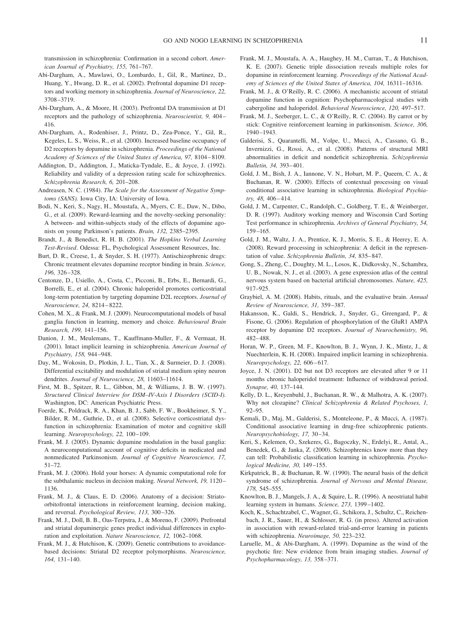transmission in schizophrenia: Confirmation in a second cohort. *American Journal of Psychiatry, 155,* 761–767.

- Abi-Dargham, A., Mawlawi, O., Lombardo, I., Gil, R., Martinez, D., Huang, Y., Hwang, D. R., et al. (2002). Prefrontal dopamine D1 receptors and working memory in schizophrenia. *Journal of Neuroscience, 22,* 3708 –3719.
- Abi-Dargham, A., & Moore, H. (2003). Prefrontal DA transmission at D1 receptors and the pathology of schizophrenia. *Neuroscientist, 9,* 404 – 416.
- Abi-Dargham, A., Rodenhiser, J., Printz, D., Zea-Ponce, Y., Gil, R., Kegeles, L. S., Weiss, R., et al. (2000). Increased baseline occupancy of D2 receptors by dopamine in schizophrenia. *Proceedings of the National Academy of Sciences of the United States of America, 97,* 8104 – 8109.
- Addington, D., Addington, J., Maticka-Tyndale, E., & Joyce, J. (1992). Reliability and validity of a depression rating scale for schizophrenics. *Schizophrenia Research, 6,* 201–208.
- Andreasen, N. C. (1984). *The Scale for the Assessment of Negative Symptoms (SANS).* Iowa City, IA: University of Iowa.
- Bodi, N., Keri, S., Nagy, H., Moustafa, A., Myers, C. E., Daw, N., Dibo, G., et al. (2009). Reward-learning and the novelty-seeking personality: A between- and within-subjects study of the effects of dopamine agonists on young Parkinson's patients. *Brain, 132,* 2385–2395.
- Brandt, J., & Benedict, R. H. B. (2001). *The Hopkins Verbal Learning Test-Revised*. Odessa: FL, Psychological Assessment Resources, Inc.
- Burt, D. R., Creese, I., & Snyder, S. H. (1977). Antischizophrenic drugs: Chronic treatment elevates dopamine receptor binding in brain. *Science, 196,* 326 –328.
- Centonze, D., Usiello, A., Costa, C., Picconi, B., Erbs, E., Bernardi, G., Borrelli, E., et al. (2004). Chronic haloperidol promotes corticostriatal long-term potentiation by targeting dopamine D2L receptors. *Journal of Neuroscience, 24,* 8214 – 8222.
- Cohen, M. X., & Frank, M. J. (2009). Neurocomputational models of basal ganglia function in learning, memory and choice. *Behavioural Brain Research, 199,* 141–156.
- Danion, J. M., Meulemans, T., Kauffmann-Muller, F., & Vermaat, H. (2001). Intact implicit learning in schizophrenia. *American Journal of Psychiatry, 158,* 944 –948.
- Day, M., Wokosin, D., Plotkin, J. L., Tian, X., & Surmeier, D. J. (2008). Differential excitability and modulation of striatal medium spiny neuron dendrites. *Journal of Neuroscience, 28,* 11603–11614.
- First, M. B., Spitzer, R. L., Gibbon, M., & Williams, J. B. W. (1997). *Structured Clinical Interview for DSM–IV-Axis I Disorders (SCID-I).* Washington, DC: American Psychiatric Press.
- Foerde, K., Poldrack, R. A., Khan, B. J., Sabb, F. W., Bookheimer, S. Y., Bilder, R. M., Guthrie, D., et al. (2008). Selective corticostriatal dysfunction in schizophrenia: Examination of motor and cognitive skill learning. *Neuropsychology, 22,* 100 –109.
- Frank, M. J. (2005). Dynamic dopamine modulation in the basal ganglia: A neurocomputational account of cognitive deficits in medicated and nonmedicated Parkinsonism. *Journal of Cognitive Neuroscience, 17,* 51–72.
- Frank, M. J. (2006). Hold your horses: A dynamic computational role for the subthalamic nucleus in decision making. *Neural Network, 19,* 1120 – 1136.
- Frank, M. J., & Claus, E. D. (2006). Anatomy of a decision: Striatoorbitofrontal interactions in reinforcement learning, decision making, and reversal. *Psychological Review, 113,* 300 –326.
- Frank, M. J., Doll, B. B., Oas-Terpstra, J., & Moreno, F. (2009). Prefrontal and striatal dopaminergic genes predict individual differences in exploration and exploitation. *Nature Neuroscience, 12,* 1062–1068.
- Frank, M. J., & Hutchison, K. (2009). Genetic contributions to avoidancebased decisions: Striatal D2 receptor polymorphisms. *Neuroscience, 164,* 131–140.
- Frank, M. J., Moustafa, A. A., Haughey, H. M., Curran, T., & Hutchison, K. E. (2007). Genetic triple dissociation reveals multiple roles for dopamine in reinforcement learning. *Proceedings of the National Academy of Sciences of the United States of America, 104,* 16311–16316.
- Frank, M. J., & O'Reilly, R. C. (2006). A mechanistic account of striatal dopamine function in cognition: Psychopharmacological studies with cabergoline and haloperidol. *Behavioral Neuroscience, 120,* 497–517.
- Frank, M. J., Seeberger, L. C., & O'Reilly, R. C. (2004). By carrot or by stick: Cognitive reinforcement learning in parkinsonism. *Science, 306,* 1940 –1943.
- Galderisi, S., Quarantelli, M., Volpe, U., Mucci, A., Cassano, G. B., Invernizzi, G., Rossi, A., et al. (2008). Patterns of structural MRI abnormalities in deficit and nondeficit schizophrenia. *Schizophrenia Bulletin, 34,* 393– 401.
- Gold, J. M., Bish, J. A., Iannone, V. N., Hobart, M. P., Queern, C. A., & Buchanan, R. W. (2000). Effects of contextual processing on visual conditional associative learning in schizophrenia. *Biological Psychiatry, 48,* 406 – 414.
- Gold, J. M., Carpenter, C., Randolph, C., Goldberg, T. E., & Weinberger, D. R. (1997). Auditory working memory and Wisconsin Card Sorting Test performance in schizophrenia. *Archives of General Psychiatry, 54,* 159 –165.
- Gold, J. M., Waltz, J. A., Prentice, K. J., Morris, S. E., & Heerey, E. A. (2008). Reward processing in schizophrenia: A deficit in the representation of value. *Schizophrenia Bulletin, 34,* 835– 847.
- Gong, S., Zheng, C., Doughty, M. L., Losos, K., Didkovsky, N., Schambra, U. B., Nowak, N. J., et al. (2003). A gene expression atlas of the central nervous system based on bacterial artificial chromosomes. *Nature, 425,* 917–925.
- Graybiel, A. M. (2008). Habits, rituals, and the evaluative brain. *Annual Review of Neuroscience, 31,* 359 –387.
- Hakansson, K., Galdi, S., Hendrick, J., Snyder, G., Greengard, P., & Fisone, G. (2006). Regulation of phosphorylation of the GluR1 AMPA receptor by dopamine D2 receptors. *Journal of Neurochemistry, 96,* 482– 488.
- Horan, W. P., Green, M. F., Knowlton, B. J., Wynn, J. K., Mintz, J., & Nuechterlein, K. H. (2008). Impaired implicit learning in schizophrenia. *Neuropsychology, 22,* 606 – 617.
- Joyce, J. N. (2001). D2 but not D3 receptors are elevated after 9 or 11 months chronic haloperidol treatment: Influence of withdrawal period. *Synapse, 40,* 137–144.
- Kelly, D. L., Kreyenbuhl, J., Buchanan, R. W., & Malhotra, A. K. (2007). Why not clozapine? *Clinical Schizophrenia & Related Psychoses, 1,* 92–95.
- Kemali, D., Maj, M., Galderisi, S., Monteleone, P., & Mucci, A. (1987). Conditional associative learning in drug-free schizophrenic patients. *Neuropsychobiology, 17,* 30 –34.
- Keri, S., Kelemen, O., Szekeres, G., Bagoczky, N., Erdelyi, R., Antal, A., Benedek, G., & Janka, Z. (2000). Schizophrenics know more than they can tell: Probabilistic classification learning in schizophrenia. *Psychological Medicine, 30,* 149 –155.
- Kirkpatrick, B., & Buchanan, R. W. (1990). The neural basis of the deficit syndrome of schizophrenia. *Journal of Nervous and Mental Disease, 178,* 545–555.
- Knowlton, B. J., Mangels, J. A., & Squire, L. R. (1996). A neostriatal habit learning system in humans. *Science, 273,* 1399 –1402.
- Koch, K., Schachtzabel, C., Wagner, G., Schikora, J., Schultz, C., Reichenbach, J. R., Sauer, H., & Schlosser, R. G. (in press). Altered activation in association with reward-related trial-and-error learning in patients with schizophrenia. *Neuroimage, 50,* 223–232.
- Laruelle, M., & Abi-Dargham, A. (1999). Dopamine as the wind of the psychotic fire: New evidence from brain imaging studies. *Journal of Psychopharmacology, 13,* 358 –371.